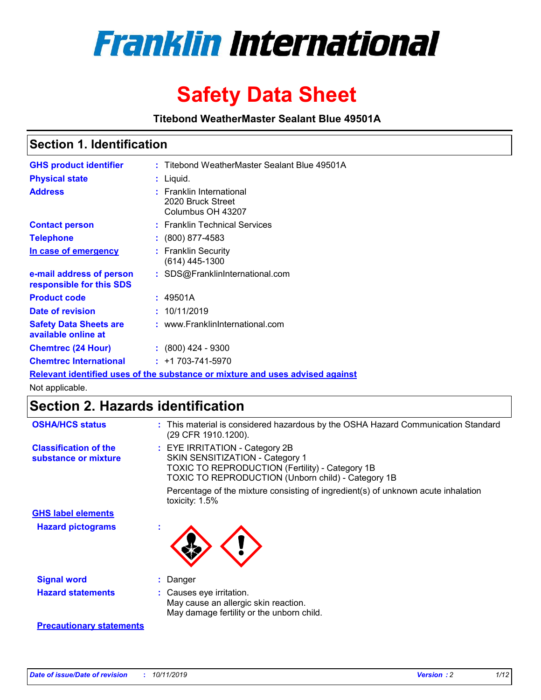

# **Safety Data Sheet**

**Titebond WeatherMaster Sealant Blue 49501A**

### **Section 1. Identification**

| <b>GHS product identifier</b>                                                 |  | : Titebond WeatherMaster Sealant Blue 49501A                       |  |  |  |
|-------------------------------------------------------------------------------|--|--------------------------------------------------------------------|--|--|--|
| <b>Physical state</b>                                                         |  | : Liquid.                                                          |  |  |  |
| <b>Address</b>                                                                |  | : Franklin International<br>2020 Bruck Street<br>Columbus OH 43207 |  |  |  |
| <b>Contact person</b>                                                         |  | : Franklin Technical Services                                      |  |  |  |
| <b>Telephone</b>                                                              |  | $\div$ (800) 877-4583                                              |  |  |  |
| In case of emergency                                                          |  | : Franklin Security<br>(614) 445-1300                              |  |  |  |
| e-mail address of person<br>responsible for this SDS                          |  | : SDS@FranklinInternational.com                                    |  |  |  |
| <b>Product code</b>                                                           |  | : 49501A                                                           |  |  |  |
| Date of revision                                                              |  | : 10/11/2019                                                       |  |  |  |
| <b>Safety Data Sheets are</b><br>available online at                          |  | : www.FranklinInternational.com                                    |  |  |  |
| <b>Chemtrec (24 Hour)</b>                                                     |  | $\div$ (800) 424 - 9300                                            |  |  |  |
| <b>Chemtrec International</b>                                                 |  | $: +1703 - 741 - 5970$                                             |  |  |  |
| Relevant identified uses of the substance or mixture and uses advised against |  |                                                                    |  |  |  |

Not applicable.

## **Section 2. Hazards identification**

| <b>OSHA/HCS status</b>                               | : This material is considered hazardous by the OSHA Hazard Communication Standard<br>(29 CFR 1910.1200).                                                                          |
|------------------------------------------------------|-----------------------------------------------------------------------------------------------------------------------------------------------------------------------------------|
| <b>Classification of the</b><br>substance or mixture | : EYE IRRITATION - Category 2B<br>SKIN SENSITIZATION - Category 1<br><b>TOXIC TO REPRODUCTION (Fertility) - Category 1B</b><br>TOXIC TO REPRODUCTION (Unborn child) - Category 1B |
|                                                      | Percentage of the mixture consisting of ingredient(s) of unknown acute inhalation<br>toxicity: $1.5\%$                                                                            |
| <b>GHS label elements</b>                            |                                                                                                                                                                                   |
| <b>Hazard pictograms</b>                             |                                                                                                                                                                                   |
| <b>Signal word</b>                                   | : Danger                                                                                                                                                                          |
| <b>Hazard statements</b>                             | : Causes eye irritation.<br>May cause an allergic skin reaction.<br>May damage fertility or the unborn child.                                                                     |
| <b>Precautionary statements</b>                      |                                                                                                                                                                                   |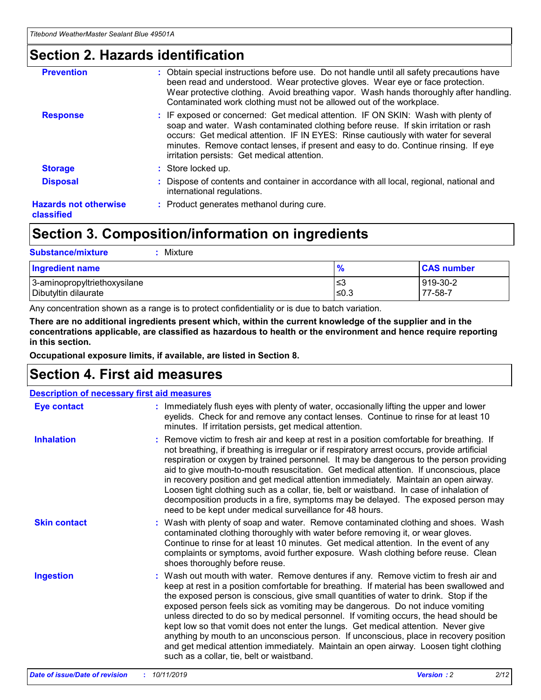### **Section 2. Hazards identification**

| <b>Prevention</b>                          | : Obtain special instructions before use. Do not handle until all safety precautions have<br>been read and understood. Wear protective gloves. Wear eye or face protection.<br>Wear protective clothing. Avoid breathing vapor. Wash hands thoroughly after handling.<br>Contaminated work clothing must not be allowed out of the workplace.                                                        |
|--------------------------------------------|------------------------------------------------------------------------------------------------------------------------------------------------------------------------------------------------------------------------------------------------------------------------------------------------------------------------------------------------------------------------------------------------------|
| <b>Response</b>                            | : IF exposed or concerned: Get medical attention. IF ON SKIN: Wash with plenty of<br>soap and water. Wash contaminated clothing before reuse. If skin irritation or rash<br>occurs: Get medical attention. IF IN EYES: Rinse cautiously with water for several<br>minutes. Remove contact lenses, if present and easy to do. Continue rinsing. If eye<br>irritation persists: Get medical attention. |
| <b>Storage</b>                             | : Store locked up.                                                                                                                                                                                                                                                                                                                                                                                   |
| <b>Disposal</b>                            | : Dispose of contents and container in accordance with all local, regional, national and<br>international regulations.                                                                                                                                                                                                                                                                               |
| <b>Hazards not otherwise</b><br>classified | : Product generates methanol during cure.                                                                                                                                                                                                                                                                                                                                                            |
|                                            |                                                                                                                                                                                                                                                                                                                                                                                                      |

## **Section 3. Composition/information on ingredients**

| <b>Substance/mixture</b><br>Mixture                  |               |                     |
|------------------------------------------------------|---------------|---------------------|
| <b>Ingredient name</b>                               | $\frac{9}{6}$ | <b>CAS number</b>   |
| 3-aminopropyltriethoxysilane<br>Dibutyltin dilaurate | ≤3<br>$≤0.3$  | 919-30-2<br>77-58-7 |

Any concentration shown as a range is to protect confidentiality or is due to batch variation.

**There are no additional ingredients present which, within the current knowledge of the supplier and in the concentrations applicable, are classified as hazardous to health or the environment and hence require reporting in this section.**

**Occupational exposure limits, if available, are listed in Section 8.**

## **Section 4. First aid measures**

| <b>Description of necessary first aid measures</b> |                                                                                                                                                                                                                                                                                                                                                                                                                                                                                                                                                                                                                                                                                                                                                                           |  |  |  |
|----------------------------------------------------|---------------------------------------------------------------------------------------------------------------------------------------------------------------------------------------------------------------------------------------------------------------------------------------------------------------------------------------------------------------------------------------------------------------------------------------------------------------------------------------------------------------------------------------------------------------------------------------------------------------------------------------------------------------------------------------------------------------------------------------------------------------------------|--|--|--|
| <b>Eye contact</b>                                 | : Immediately flush eyes with plenty of water, occasionally lifting the upper and lower<br>eyelids. Check for and remove any contact lenses. Continue to rinse for at least 10<br>minutes. If irritation persists, get medical attention.                                                                                                                                                                                                                                                                                                                                                                                                                                                                                                                                 |  |  |  |
| <b>Inhalation</b>                                  | : Remove victim to fresh air and keep at rest in a position comfortable for breathing. If<br>not breathing, if breathing is irregular or if respiratory arrest occurs, provide artificial<br>respiration or oxygen by trained personnel. It may be dangerous to the person providing<br>aid to give mouth-to-mouth resuscitation. Get medical attention. If unconscious, place<br>in recovery position and get medical attention immediately. Maintain an open airway.<br>Loosen tight clothing such as a collar, tie, belt or waistband. In case of inhalation of<br>decomposition products in a fire, symptoms may be delayed. The exposed person may<br>need to be kept under medical surveillance for 48 hours.                                                       |  |  |  |
| <b>Skin contact</b>                                | : Wash with plenty of soap and water. Remove contaminated clothing and shoes. Wash<br>contaminated clothing thoroughly with water before removing it, or wear gloves.<br>Continue to rinse for at least 10 minutes. Get medical attention. In the event of any<br>complaints or symptoms, avoid further exposure. Wash clothing before reuse. Clean<br>shoes thoroughly before reuse.                                                                                                                                                                                                                                                                                                                                                                                     |  |  |  |
| <b>Ingestion</b>                                   | : Wash out mouth with water. Remove dentures if any. Remove victim to fresh air and<br>keep at rest in a position comfortable for breathing. If material has been swallowed and<br>the exposed person is conscious, give small quantities of water to drink. Stop if the<br>exposed person feels sick as vomiting may be dangerous. Do not induce vomiting<br>unless directed to do so by medical personnel. If vomiting occurs, the head should be<br>kept low so that vomit does not enter the lungs. Get medical attention. Never give<br>anything by mouth to an unconscious person. If unconscious, place in recovery position<br>and get medical attention immediately. Maintain an open airway. Loosen tight clothing<br>such as a collar, tie, belt or waistband. |  |  |  |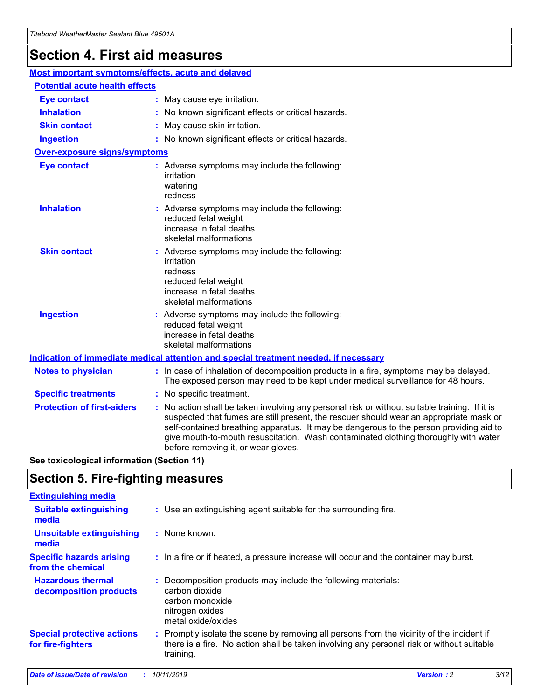## **Section 4. First aid measures**

| Most important symptoms/effects, acute and delayed |  |                                                                                                                                                                                                                                                                                                                                                                                                                 |  |
|----------------------------------------------------|--|-----------------------------------------------------------------------------------------------------------------------------------------------------------------------------------------------------------------------------------------------------------------------------------------------------------------------------------------------------------------------------------------------------------------|--|
| <b>Potential acute health effects</b>              |  |                                                                                                                                                                                                                                                                                                                                                                                                                 |  |
| <b>Eye contact</b>                                 |  | : May cause eye irritation.                                                                                                                                                                                                                                                                                                                                                                                     |  |
| <b>Inhalation</b>                                  |  | : No known significant effects or critical hazards.                                                                                                                                                                                                                                                                                                                                                             |  |
| <b>Skin contact</b>                                |  | : May cause skin irritation.                                                                                                                                                                                                                                                                                                                                                                                    |  |
| <b>Ingestion</b>                                   |  | : No known significant effects or critical hazards.                                                                                                                                                                                                                                                                                                                                                             |  |
| Over-exposure signs/symptoms                       |  |                                                                                                                                                                                                                                                                                                                                                                                                                 |  |
| <b>Eye contact</b>                                 |  | : Adverse symptoms may include the following:<br>irritation<br>watering<br>redness                                                                                                                                                                                                                                                                                                                              |  |
| <b>Inhalation</b>                                  |  | : Adverse symptoms may include the following:<br>reduced fetal weight<br>increase in fetal deaths<br>skeletal malformations                                                                                                                                                                                                                                                                                     |  |
| <b>Skin contact</b>                                |  | : Adverse symptoms may include the following:<br>irritation<br>redness<br>reduced fetal weight<br>increase in fetal deaths<br>skeletal malformations                                                                                                                                                                                                                                                            |  |
| <b>Ingestion</b>                                   |  | : Adverse symptoms may include the following:<br>reduced fetal weight<br>increase in fetal deaths<br>skeletal malformations                                                                                                                                                                                                                                                                                     |  |
|                                                    |  | <b>Indication of immediate medical attention and special treatment needed, if necessary</b>                                                                                                                                                                                                                                                                                                                     |  |
| <b>Notes to physician</b>                          |  | : In case of inhalation of decomposition products in a fire, symptoms may be delayed.<br>The exposed person may need to be kept under medical surveillance for 48 hours.                                                                                                                                                                                                                                        |  |
| <b>Specific treatments</b>                         |  | : No specific treatment.                                                                                                                                                                                                                                                                                                                                                                                        |  |
| <b>Protection of first-aiders</b>                  |  | : No action shall be taken involving any personal risk or without suitable training. If it is<br>suspected that fumes are still present, the rescuer should wear an appropriate mask or<br>self-contained breathing apparatus. It may be dangerous to the person providing aid to<br>give mouth-to-mouth resuscitation. Wash contaminated clothing thoroughly with water<br>before removing it, or wear gloves. |  |

**See toxicological information (Section 11)**

### **Section 5. Fire-fighting measures**

| <b>Extinguishing media</b>                             |                                                                                                                                                                                                     |
|--------------------------------------------------------|-----------------------------------------------------------------------------------------------------------------------------------------------------------------------------------------------------|
| <b>Suitable extinguishing</b><br>media                 | : Use an extinguishing agent suitable for the surrounding fire.                                                                                                                                     |
| <b>Unsuitable extinguishing</b><br>media               | : None known.                                                                                                                                                                                       |
| <b>Specific hazards arising</b><br>from the chemical   | : In a fire or if heated, a pressure increase will occur and the container may burst.                                                                                                               |
| <b>Hazardous thermal</b><br>decomposition products     | : Decomposition products may include the following materials:<br>carbon dioxide<br>carbon monoxide<br>nitrogen oxides<br>metal oxide/oxides                                                         |
| <b>Special protective actions</b><br>for fire-fighters | : Promptly isolate the scene by removing all persons from the vicinity of the incident if<br>there is a fire. No action shall be taken involving any personal risk or without suitable<br>training. |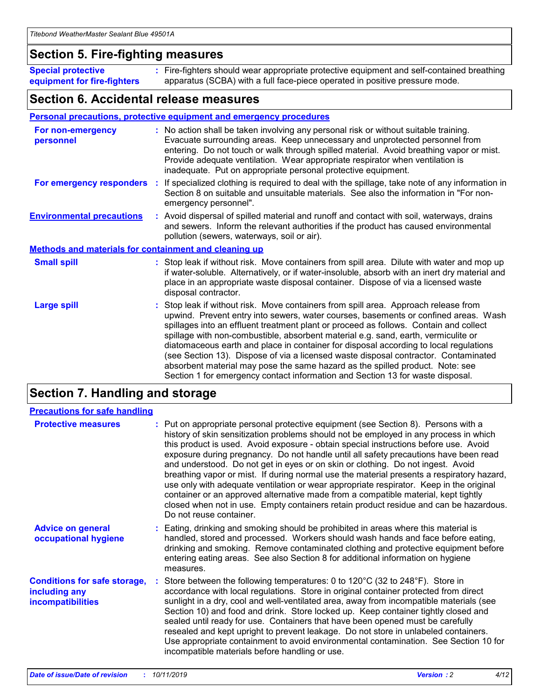#### **Section 5. Fire-fighting measures**

**Special protective equipment for fire-fighters** Fire-fighters should wear appropriate protective equipment and self-contained breathing **:** apparatus (SCBA) with a full face-piece operated in positive pressure mode.

#### **Section 6. Accidental release measures**

#### **Personal precautions, protective equipment and emergency procedures**

| For non-emergency<br>personnel                               | : No action shall be taken involving any personal risk or without suitable training.<br>Evacuate surrounding areas. Keep unnecessary and unprotected personnel from<br>entering. Do not touch or walk through spilled material. Avoid breathing vapor or mist.<br>Provide adequate ventilation. Wear appropriate respirator when ventilation is<br>inadequate. Put on appropriate personal protective equipment.                                                                                                                                                                                                                                                                                             |
|--------------------------------------------------------------|--------------------------------------------------------------------------------------------------------------------------------------------------------------------------------------------------------------------------------------------------------------------------------------------------------------------------------------------------------------------------------------------------------------------------------------------------------------------------------------------------------------------------------------------------------------------------------------------------------------------------------------------------------------------------------------------------------------|
| For emergency responders                                     | : If specialized clothing is required to deal with the spillage, take note of any information in<br>Section 8 on suitable and unsuitable materials. See also the information in "For non-<br>emergency personnel".                                                                                                                                                                                                                                                                                                                                                                                                                                                                                           |
| <b>Environmental precautions</b>                             | : Avoid dispersal of spilled material and runoff and contact with soil, waterways, drains<br>and sewers. Inform the relevant authorities if the product has caused environmental<br>pollution (sewers, waterways, soil or air).                                                                                                                                                                                                                                                                                                                                                                                                                                                                              |
| <b>Methods and materials for containment and cleaning up</b> |                                                                                                                                                                                                                                                                                                                                                                                                                                                                                                                                                                                                                                                                                                              |
| <b>Small spill</b>                                           | : Stop leak if without risk. Move containers from spill area. Dilute with water and mop up<br>if water-soluble. Alternatively, or if water-insoluble, absorb with an inert dry material and<br>place in an appropriate waste disposal container. Dispose of via a licensed waste<br>disposal contractor.                                                                                                                                                                                                                                                                                                                                                                                                     |
| <b>Large spill</b>                                           | : Stop leak if without risk. Move containers from spill area. Approach release from<br>upwind. Prevent entry into sewers, water courses, basements or confined areas. Wash<br>spillages into an effluent treatment plant or proceed as follows. Contain and collect<br>spillage with non-combustible, absorbent material e.g. sand, earth, vermiculite or<br>diatomaceous earth and place in container for disposal according to local regulations<br>(see Section 13). Dispose of via a licensed waste disposal contractor. Contaminated<br>absorbent material may pose the same hazard as the spilled product. Note: see<br>Section 1 for emergency contact information and Section 13 for waste disposal. |

## **Section 7. Handling and storage**

| <b>Precautions for safe handling</b>                                             |                                                                                                                                                                                                                                                                                                                                                                                                                                                                                                                                                                                                                                                                                                                                                                                                                                                  |
|----------------------------------------------------------------------------------|--------------------------------------------------------------------------------------------------------------------------------------------------------------------------------------------------------------------------------------------------------------------------------------------------------------------------------------------------------------------------------------------------------------------------------------------------------------------------------------------------------------------------------------------------------------------------------------------------------------------------------------------------------------------------------------------------------------------------------------------------------------------------------------------------------------------------------------------------|
| <b>Protective measures</b>                                                       | : Put on appropriate personal protective equipment (see Section 8). Persons with a<br>history of skin sensitization problems should not be employed in any process in which<br>this product is used. Avoid exposure - obtain special instructions before use. Avoid<br>exposure during pregnancy. Do not handle until all safety precautions have been read<br>and understood. Do not get in eyes or on skin or clothing. Do not ingest. Avoid<br>breathing vapor or mist. If during normal use the material presents a respiratory hazard,<br>use only with adequate ventilation or wear appropriate respirator. Keep in the original<br>container or an approved alternative made from a compatible material, kept tightly<br>closed when not in use. Empty containers retain product residue and can be hazardous.<br>Do not reuse container. |
| <b>Advice on general</b><br>occupational hygiene                                 | : Eating, drinking and smoking should be prohibited in areas where this material is<br>handled, stored and processed. Workers should wash hands and face before eating,<br>drinking and smoking. Remove contaminated clothing and protective equipment before<br>entering eating areas. See also Section 8 for additional information on hygiene<br>measures.                                                                                                                                                                                                                                                                                                                                                                                                                                                                                    |
| <b>Conditions for safe storage,</b><br>including any<br><b>incompatibilities</b> | Store between the following temperatures: 0 to 120 $\degree$ C (32 to 248 $\degree$ F). Store in<br>accordance with local regulations. Store in original container protected from direct<br>sunlight in a dry, cool and well-ventilated area, away from incompatible materials (see<br>Section 10) and food and drink. Store locked up. Keep container tightly closed and<br>sealed until ready for use. Containers that have been opened must be carefully<br>resealed and kept upright to prevent leakage. Do not store in unlabeled containers.<br>Use appropriate containment to avoid environmental contamination. See Section 10 for<br>incompatible materials before handling or use.                                                                                                                                                     |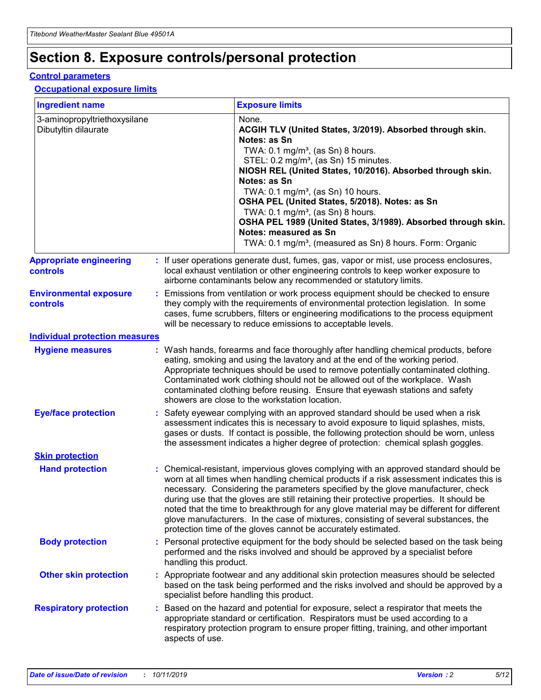## **Section 8. Exposure controls/personal protection**

#### **Control parameters**

#### **Occupational exposure limits**

| <b>Ingredient name</b>                               |    |                        | <b>Exposure limits</b>                                                                                                                                                                                                                                                                                                                                                                                                                                                                                                                                                                                                 |
|------------------------------------------------------|----|------------------------|------------------------------------------------------------------------------------------------------------------------------------------------------------------------------------------------------------------------------------------------------------------------------------------------------------------------------------------------------------------------------------------------------------------------------------------------------------------------------------------------------------------------------------------------------------------------------------------------------------------------|
| 3-aminopropyltriethoxysilane<br>Dibutyltin dilaurate |    |                        | None.<br>ACGIH TLV (United States, 3/2019). Absorbed through skin.<br>Notes: as Sn<br>TWA: $0.1 \text{ mg/m}^3$ , (as Sn) 8 hours.<br>STEL: 0.2 mg/m <sup>3</sup> , (as Sn) 15 minutes.<br>NIOSH REL (United States, 10/2016). Absorbed through skin.<br>Notes: as Sn<br>TWA: 0.1 mg/m <sup>3</sup> , (as Sn) 10 hours.<br>OSHA PEL (United States, 5/2018). Notes: as Sn<br>TWA: $0.1 \text{ mg/m}^3$ , (as Sn) 8 hours.<br>OSHA PEL 1989 (United States, 3/1989). Absorbed through skin.<br>Notes: measured as Sn<br>TWA: 0.1 mg/m <sup>3</sup> , (measured as Sn) 8 hours. Form: Organic                            |
| <b>Appropriate engineering</b><br>controls           |    |                        | : If user operations generate dust, fumes, gas, vapor or mist, use process enclosures,<br>local exhaust ventilation or other engineering controls to keep worker exposure to<br>airborne contaminants below any recommended or statutory limits.                                                                                                                                                                                                                                                                                                                                                                       |
| <b>Environmental exposure</b><br>controls            |    |                        | Emissions from ventilation or work process equipment should be checked to ensure<br>they comply with the requirements of environmental protection legislation. In some<br>cases, fume scrubbers, filters or engineering modifications to the process equipment<br>will be necessary to reduce emissions to acceptable levels.                                                                                                                                                                                                                                                                                          |
| <b>Individual protection measures</b>                |    |                        |                                                                                                                                                                                                                                                                                                                                                                                                                                                                                                                                                                                                                        |
| <b>Hygiene measures</b>                              |    |                        | : Wash hands, forearms and face thoroughly after handling chemical products, before<br>eating, smoking and using the lavatory and at the end of the working period.<br>Appropriate techniques should be used to remove potentially contaminated clothing.<br>Contaminated work clothing should not be allowed out of the workplace. Wash<br>contaminated clothing before reusing. Ensure that eyewash stations and safety<br>showers are close to the workstation location.                                                                                                                                            |
| <b>Eye/face protection</b>                           |    |                        | : Safety eyewear complying with an approved standard should be used when a risk<br>assessment indicates this is necessary to avoid exposure to liquid splashes, mists,<br>gases or dusts. If contact is possible, the following protection should be worn, unless<br>the assessment indicates a higher degree of protection: chemical splash goggles.                                                                                                                                                                                                                                                                  |
| <b>Skin protection</b>                               |    |                        |                                                                                                                                                                                                                                                                                                                                                                                                                                                                                                                                                                                                                        |
| <b>Hand protection</b>                               |    |                        | : Chemical-resistant, impervious gloves complying with an approved standard should be<br>worn at all times when handling chemical products if a risk assessment indicates this is<br>necessary. Considering the parameters specified by the glove manufacturer, check<br>during use that the gloves are still retaining their protective properties. It should be<br>noted that the time to breakthrough for any glove material may be different for different<br>glove manufacturers. In the case of mixtures, consisting of several substances, the<br>protection time of the gloves cannot be accurately estimated. |
| <b>Body protection</b>                               |    | handling this product. | Personal protective equipment for the body should be selected based on the task being<br>performed and the risks involved and should be approved by a specialist before                                                                                                                                                                                                                                                                                                                                                                                                                                                |
| <b>Other skin protection</b>                         |    |                        | : Appropriate footwear and any additional skin protection measures should be selected<br>based on the task being performed and the risks involved and should be approved by a<br>specialist before handling this product.                                                                                                                                                                                                                                                                                                                                                                                              |
| <b>Respiratory protection</b>                        | ÷. | aspects of use.        | Based on the hazard and potential for exposure, select a respirator that meets the<br>appropriate standard or certification. Respirators must be used according to a<br>respiratory protection program to ensure proper fitting, training, and other important                                                                                                                                                                                                                                                                                                                                                         |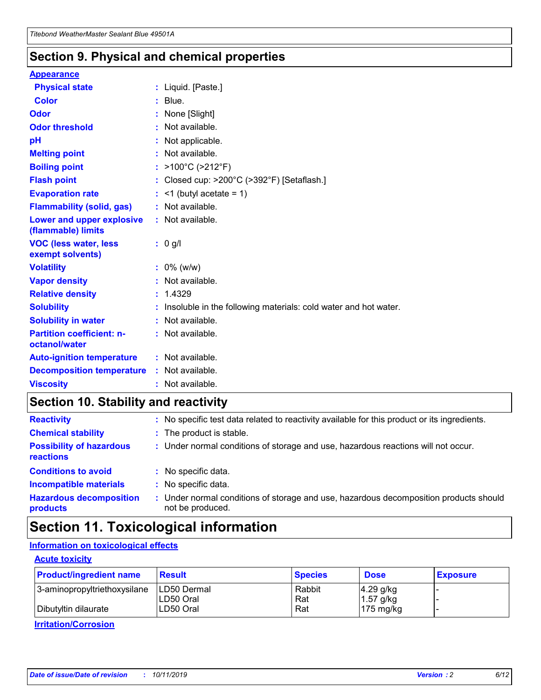### **Section 9. Physical and chemical properties**

#### **Appearance**

| <b>Physical state</b>                             | : Liquid. [Paste.]                                              |
|---------------------------------------------------|-----------------------------------------------------------------|
| Color                                             | $:$ Blue.                                                       |
| Odor                                              | : None [Slight]                                                 |
| <b>Odor threshold</b>                             | : Not available.                                                |
| рH                                                | : Not applicable.                                               |
| <b>Melting point</b>                              | : Not available.                                                |
| <b>Boiling point</b>                              | : >100°C (>212°F)                                               |
| <b>Flash point</b>                                | : Closed cup: $>200^{\circ}$ C ( $>392^{\circ}$ F) [Setaflash.] |
| <b>Evaporation rate</b>                           | $:$ <1 (butyl acetate = 1)                                      |
| <b>Flammability (solid, gas)</b>                  | : Not available.                                                |
| Lower and upper explosive<br>(flammable) limits   | : Not available.                                                |
| <b>VOC (less water, less</b><br>exempt solvents)  | $: 0$ g/l                                                       |
| <b>Volatility</b>                                 | $: 0\%$ (w/w)                                                   |
| <b>Vapor density</b>                              |                                                                 |
|                                                   | : Not available.                                                |
| <b>Relative density</b>                           | : 1.4329                                                        |
| <b>Solubility</b>                                 | Insoluble in the following materials: cold water and hot water. |
| <b>Solubility in water</b>                        | : Not available.                                                |
| <b>Partition coefficient: n-</b><br>octanol/water | $:$ Not available.                                              |
| <b>Auto-ignition temperature</b>                  | : Not available.                                                |
| <b>Decomposition temperature</b>                  | : Not available.                                                |

## **Section 10. Stability and reactivity**

| <b>Reactivity</b>                            | : No specific test data related to reactivity available for this product or its ingredients.            |
|----------------------------------------------|---------------------------------------------------------------------------------------------------------|
| <b>Chemical stability</b>                    | : The product is stable.                                                                                |
| <b>Possibility of hazardous</b><br>reactions | : Under normal conditions of storage and use, hazardous reactions will not occur.                       |
| <b>Conditions to avoid</b>                   | : No specific data.                                                                                     |
| <b>Incompatible materials</b>                | : No specific data.                                                                                     |
| <b>Hazardous decomposition</b><br>products   | Under normal conditions of storage and use, hazardous decomposition products should<br>not be produced. |

## **Section 11. Toxicological information**

#### **Information on toxicological effects**

#### **Acute toxicity**

| <b>Product/ingredient name</b> | <b>Result</b> | <b>Species</b> | <b>Dose</b>         | <b>Exposure</b> |
|--------------------------------|---------------|----------------|---------------------|-----------------|
| 3-aminopropyltriethoxysilane   | LD50 Dermal   | Rabbit         | $4.29$ g/kg         |                 |
|                                | ILD50 Oral    | Rat            | 1.57 g/kg           |                 |
| Dibutyltin dilaurate           | LD50 Oral     | Rat            | $175 \text{ mg/kg}$ |                 |

**Irritation/Corrosion**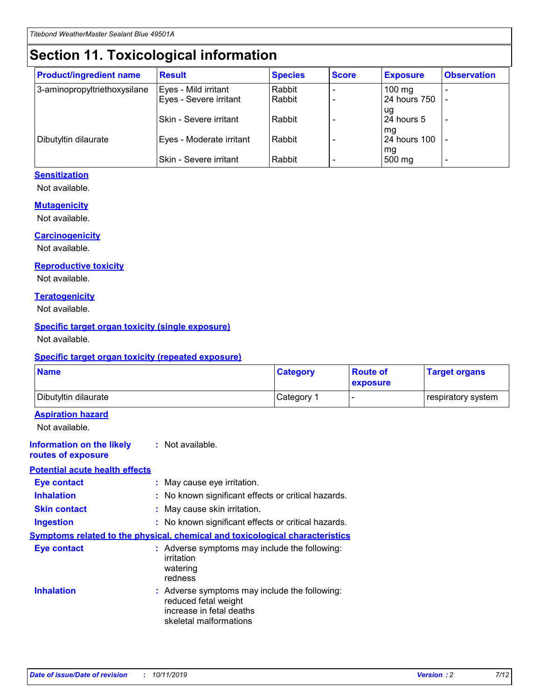## **Section 11. Toxicological information**

| <b>Product/ingredient name</b> | <b>Result</b>                 | <b>Species</b> | <b>Score</b> | <b>Exposure</b>    | <b>Observation</b> |
|--------------------------------|-------------------------------|----------------|--------------|--------------------|--------------------|
| 3-aminopropyltriethoxysilane   | Eyes - Mild irritant          | Rabbit         |              | $100$ mg           |                    |
|                                | Eyes - Severe irritant        | Rabbit         |              | 24 hours 750       |                    |
|                                |                               |                |              | ug                 |                    |
|                                | <b>Skin - Severe irritant</b> | Rabbit         |              | 24 hours 5         | ٠                  |
| Dibutyltin dilaurate           | Eyes - Moderate irritant      | Rabbit         |              | mq<br>24 hours 100 |                    |
|                                |                               |                |              | mg                 |                    |
|                                | Skin - Severe irritant        | Rabbit         |              | 500 mg             |                    |

#### **Sensitization**

Not available.

#### **Mutagenicity**

Not available.

#### **Carcinogenicity**

Not available.

#### **Reproductive toxicity**

Not available.

#### **Teratogenicity**

Not available.

#### **Specific target organ toxicity (single exposure)**

Not available.

#### **Specific target organ toxicity (repeated exposure)**

| <b>Name</b>                                                                  |                                                                                                                             | <b>Category</b> | <b>Route of</b><br>exposure  | <b>Target organs</b> |
|------------------------------------------------------------------------------|-----------------------------------------------------------------------------------------------------------------------------|-----------------|------------------------------|----------------------|
| Dibutyltin dilaurate                                                         |                                                                                                                             | Category 1      | $\qquad \qquad \blacksquare$ | respiratory system   |
| <b>Aspiration hazard</b><br>Not available.                                   |                                                                                                                             |                 |                              |                      |
| <b>Information on the likely</b><br>routes of exposure                       | : Not available.                                                                                                            |                 |                              |                      |
| <b>Potential acute health effects</b>                                        |                                                                                                                             |                 |                              |                      |
| <b>Eye contact</b>                                                           | : May cause eye irritation.                                                                                                 |                 |                              |                      |
| <b>Inhalation</b>                                                            | : No known significant effects or critical hazards.                                                                         |                 |                              |                      |
| <b>Skin contact</b>                                                          | : May cause skin irritation.                                                                                                |                 |                              |                      |
| <b>Ingestion</b>                                                             | : No known significant effects or critical hazards.                                                                         |                 |                              |                      |
| Symptoms related to the physical, chemical and toxicological characteristics |                                                                                                                             |                 |                              |                      |
| <b>Eye contact</b>                                                           | : Adverse symptoms may include the following:<br>irritation<br>watering<br>redness                                          |                 |                              |                      |
| <b>Inhalation</b>                                                            | : Adverse symptoms may include the following:<br>reduced fetal weight<br>increase in fetal deaths<br>skeletal malformations |                 |                              |                      |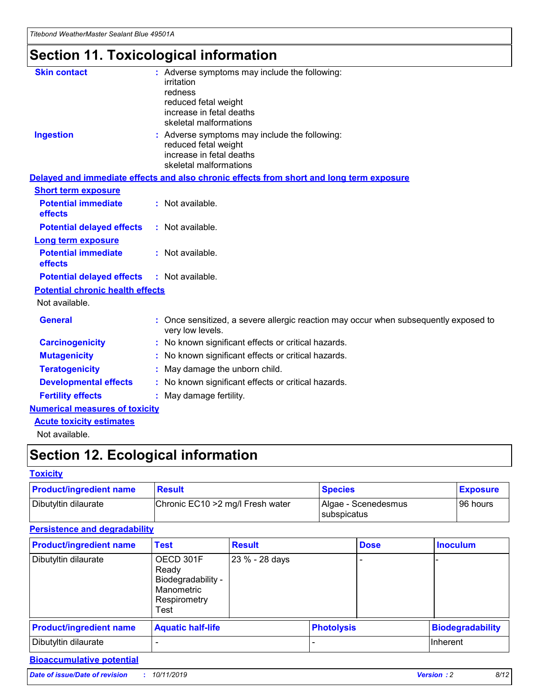## **Section 11. Toxicological information**

| <b>Skin contact</b>                     | : Adverse symptoms may include the following:<br>irritation<br>redness<br>reduced fetal weight<br>increase in fetal deaths<br>skeletal malformations |
|-----------------------------------------|------------------------------------------------------------------------------------------------------------------------------------------------------|
| <b>Ingestion</b>                        | : Adverse symptoms may include the following:<br>reduced fetal weight<br>increase in fetal deaths<br>skeletal malformations                          |
|                                         | Delayed and immediate effects and also chronic effects from short and long term exposure                                                             |
| <b>Short term exposure</b>              |                                                                                                                                                      |
| <b>Potential immediate</b><br>effects   | : Not available.                                                                                                                                     |
| <b>Potential delayed effects</b>        | : Not available.                                                                                                                                     |
| <b>Long term exposure</b>               |                                                                                                                                                      |
| <b>Potential immediate</b><br>effects   | : Not available.                                                                                                                                     |
| <b>Potential delayed effects</b>        | : Not available.                                                                                                                                     |
| <b>Potential chronic health effects</b> |                                                                                                                                                      |
| Not available.                          |                                                                                                                                                      |
| <b>General</b>                          | : Once sensitized, a severe allergic reaction may occur when subsequently exposed to<br>very low levels.                                             |
| <b>Carcinogenicity</b>                  | : No known significant effects or critical hazards.                                                                                                  |
| <b>Mutagenicity</b>                     | No known significant effects or critical hazards.                                                                                                    |
| <b>Teratogenicity</b>                   | May damage the unborn child.                                                                                                                         |
| <b>Developmental effects</b>            | No known significant effects or critical hazards.                                                                                                    |
| <b>Fertility effects</b>                | : May damage fertility.                                                                                                                              |
| <b>Numerical measures of toxicity</b>   |                                                                                                                                                      |
| <b>Acute toxicity estimates</b>         |                                                                                                                                                      |
|                                         |                                                                                                                                                      |

Not available.

## **Section 12. Ecological information**

#### **Toxicity**

| <b>Product/ingredient name</b> | <b>Result</b>                     | <b>Species</b>                       | <b>Exposure</b> |
|--------------------------------|-----------------------------------|--------------------------------------|-----------------|
| Dibutyltin dilaurate           | Chronic EC10 > 2 mg/l Fresh water | Algae - Scenedesmus<br>I subspicatus | l 96 hours      |

#### **Persistence and degradability**

| <b>Product/ingredient name</b> | <b>Test</b>                                                                    | <b>Result</b>  |                   | <b>Dose</b> | <b>Inoculum</b>         |
|--------------------------------|--------------------------------------------------------------------------------|----------------|-------------------|-------------|-------------------------|
| Dibutyltin dilaurate           | OECD 301F<br>Ready<br>Biodegradability -<br>Manometric<br>Respirometry<br>Test | 23 % - 28 days |                   |             |                         |
| <b>Product/ingredient name</b> | <b>Aquatic half-life</b>                                                       |                | <b>Photolysis</b> |             | <b>Biodegradability</b> |
| Dibutyltin dilaurate           |                                                                                |                |                   |             | Inherent                |

#### **Bioaccumulative potential**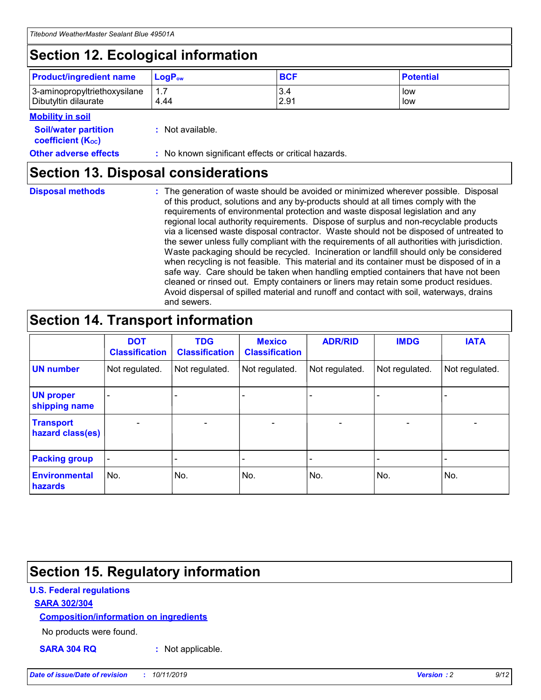## **Section 12. Ecological information**

| <b>Product/ingredient name</b> | $LoaPow$ | <b>BCF</b> | <b>Potential</b> |
|--------------------------------|----------|------------|------------------|
| 3-aminopropyltriethoxysilane   | 1.7      | 3.4        | low              |
| Dibutyltin dilaurate           | 4.44     | 2.91       | low              |

#### **Mobility in soil**

| <b>Soil/water partition</b><br>coefficient (K <sub>oc</sub> ) | : Not available.                                    |
|---------------------------------------------------------------|-----------------------------------------------------|
| <b>Other adverse effects</b>                                  | : No known significant effects or critical hazards. |

### **Section 13. Disposal considerations**

|  | <b>Disposal methods</b> |  |
|--|-------------------------|--|

**Disposal methods** : The generation of waste should be avoided or minimized wherever possible. Disposal of this product, solutions and any by-products should at all times comply with the requirements of environmental protection and waste disposal legislation and any regional local authority requirements. Dispose of surplus and non-recyclable products via a licensed waste disposal contractor. Waste should not be disposed of untreated to the sewer unless fully compliant with the requirements of all authorities with jurisdiction. Waste packaging should be recycled. Incineration or landfill should only be considered when recycling is not feasible. This material and its container must be disposed of in a safe way. Care should be taken when handling emptied containers that have not been cleaned or rinsed out. Empty containers or liners may retain some product residues. Avoid dispersal of spilled material and runoff and contact with soil, waterways, drains and sewers.

## **Section 14. Transport information**

|                                      | <b>DOT</b><br><b>Classification</b> | <b>TDG</b><br><b>Classification</b> | <b>Mexico</b><br><b>Classification</b> | <b>ADR/RID</b>           | <b>IMDG</b>              | <b>IATA</b>    |
|--------------------------------------|-------------------------------------|-------------------------------------|----------------------------------------|--------------------------|--------------------------|----------------|
| <b>UN number</b>                     | Not regulated.                      | Not regulated.                      | Not regulated.                         | Not regulated.           | Not regulated.           | Not regulated. |
| <b>UN proper</b><br>shipping name    | $\blacksquare$                      |                                     |                                        |                          |                          |                |
| <b>Transport</b><br>hazard class(es) | $\blacksquare$                      | $\overline{\phantom{a}}$            | $\overline{\phantom{a}}$               | $\overline{\phantom{a}}$ | $\overline{\phantom{a}}$ | $\blacksquare$ |
| <b>Packing group</b>                 | $\overline{\phantom{a}}$            | -                                   | -                                      | -                        |                          | -              |
| <b>Environmental</b><br>hazards      | No.                                 | No.                                 | No.                                    | No.                      | No.                      | No.            |

## **Section 15. Regulatory information**

#### **U.S. Federal regulations**

#### **SARA 302/304**

#### **Composition/information on ingredients**

No products were found.

**SARA 304 RQ :** Not applicable.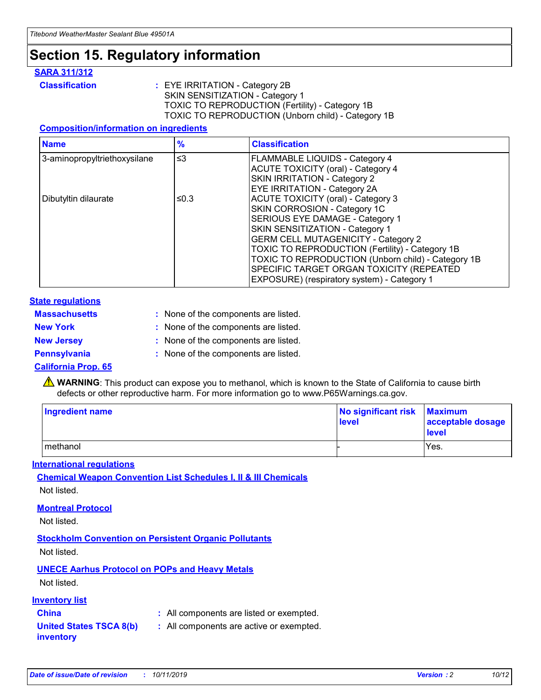## **Section 15. Regulatory information**

#### **SARA 311/312**

**Classification :** EYE IRRITATION - Category 2B SKIN SENSITIZATION - Category 1 TOXIC TO REPRODUCTION (Fertility) - Category 1B TOXIC TO REPRODUCTION (Unborn child) - Category 1B

#### **Composition/information on ingredients**

| <b>Name</b>                  | $\frac{9}{6}$ | <b>Classification</b>                                                                                            |
|------------------------------|---------------|------------------------------------------------------------------------------------------------------------------|
| 3-aminopropyltriethoxysilane | $\leq$ 3      | <b>FLAMMABLE LIQUIDS - Category 4</b><br><b>ACUTE TOXICITY (oral) - Category 4</b>                               |
|                              |               | SKIN IRRITATION - Category 2<br>EYE IRRITATION - Category 2A                                                     |
| Dibutyltin dilaurate         | ≤0.3          | ACUTE TOXICITY (oral) - Category 3<br>SKIN CORROSION - Category 1C                                               |
|                              |               | SERIOUS EYE DAMAGE - Category 1<br>SKIN SENSITIZATION - Category 1<br><b>GERM CELL MUTAGENICITY - Category 2</b> |
|                              |               | TOXIC TO REPRODUCTION (Fertility) - Category 1B<br>TOXIC TO REPRODUCTION (Unborn child) - Category 1B            |
|                              |               | SPECIFIC TARGET ORGAN TOXICITY (REPEATED<br>EXPOSURE) (respiratory system) - Category 1                          |

#### **State regulations**

| <b>Massachusetts</b> | : None of the components are listed. |
|----------------------|--------------------------------------|
| <b>New York</b>      | : None of the components are listed. |
| <b>New Jersey</b>    | : None of the components are listed. |
| <b>Pennsylvania</b>  | : None of the components are listed. |

#### **California Prop. 65**

**A** WARNING: This product can expose you to methanol, which is known to the State of California to cause birth defects or other reproductive harm. For more information go to www.P65Warnings.ca.gov.

| <b>Ingredient name</b> | No significant risk Maximum<br>level | acceptable dosage<br>level |
|------------------------|--------------------------------------|----------------------------|
| methanol               |                                      | Yes.                       |

#### **International regulations**

**Chemical Weapon Convention List Schedules I, II & III Chemicals** Not listed.

#### **Montreal Protocol**

Not listed.

**Stockholm Convention on Persistent Organic Pollutants**

Not listed.

#### **UNECE Aarhus Protocol on POPs and Heavy Metals**

Not listed.

#### **Inventory list**

### **China :** All components are listed or exempted.

**United States TSCA 8(b) inventory :** All components are active or exempted.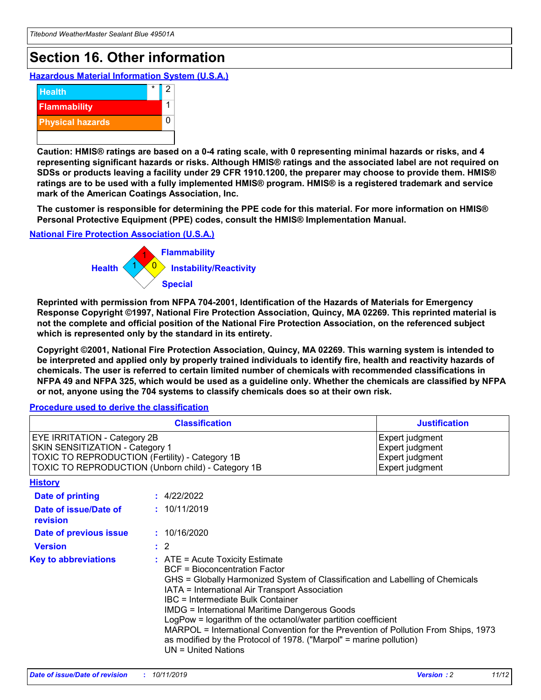## **Section 16. Other information**

**Hazardous Material Information System (U.S.A.)**



**Caution: HMIS® ratings are based on a 0-4 rating scale, with 0 representing minimal hazards or risks, and 4 representing significant hazards or risks. Although HMIS® ratings and the associated label are not required on SDSs or products leaving a facility under 29 CFR 1910.1200, the preparer may choose to provide them. HMIS® ratings are to be used with a fully implemented HMIS® program. HMIS® is a registered trademark and service mark of the American Coatings Association, Inc.**

**The customer is responsible for determining the PPE code for this material. For more information on HMIS® Personal Protective Equipment (PPE) codes, consult the HMIS® Implementation Manual.**

#### **National Fire Protection Association (U.S.A.)**



**Reprinted with permission from NFPA 704-2001, Identification of the Hazards of Materials for Emergency Response Copyright ©1997, National Fire Protection Association, Quincy, MA 02269. This reprinted material is not the complete and official position of the National Fire Protection Association, on the referenced subject which is represented only by the standard in its entirety.**

**Copyright ©2001, National Fire Protection Association, Quincy, MA 02269. This warning system is intended to be interpreted and applied only by properly trained individuals to identify fire, health and reactivity hazards of chemicals. The user is referred to certain limited number of chemicals with recommended classifications in NFPA 49 and NFPA 325, which would be used as a guideline only. Whether the chemicals are classified by NFPA or not, anyone using the 704 systems to classify chemicals does so at their own risk.**

#### **Procedure used to derive the classification**

|                                                                                                                    | <b>Classification</b>                                                                                                                                                                                                                                                                                                                                                                                                                                                                                                                                         | <b>Justification</b>                                                     |
|--------------------------------------------------------------------------------------------------------------------|---------------------------------------------------------------------------------------------------------------------------------------------------------------------------------------------------------------------------------------------------------------------------------------------------------------------------------------------------------------------------------------------------------------------------------------------------------------------------------------------------------------------------------------------------------------|--------------------------------------------------------------------------|
| EYE IRRITATION - Category 2B<br>SKIN SENSITIZATION - Category 1<br>TOXIC TO REPRODUCTION (Fertility) - Category 1B | TOXIC TO REPRODUCTION (Unborn child) - Category 1B                                                                                                                                                                                                                                                                                                                                                                                                                                                                                                            | Expert judgment<br>Expert judgment<br>Expert judgment<br>Expert judgment |
| <b>History</b>                                                                                                     |                                                                                                                                                                                                                                                                                                                                                                                                                                                                                                                                                               |                                                                          |
| Date of printing                                                                                                   | : 4/22/2022                                                                                                                                                                                                                                                                                                                                                                                                                                                                                                                                                   |                                                                          |
| Date of issue/Date of<br>revision                                                                                  | : 10/11/2019                                                                                                                                                                                                                                                                                                                                                                                                                                                                                                                                                  |                                                                          |
| Date of previous issue                                                                                             | : 10/16/2020                                                                                                                                                                                                                                                                                                                                                                                                                                                                                                                                                  |                                                                          |
| <b>Version</b>                                                                                                     | $\therefore$ 2                                                                                                                                                                                                                                                                                                                                                                                                                                                                                                                                                |                                                                          |
| <b>Key to abbreviations</b>                                                                                        | $:$ ATE = Acute Toxicity Estimate<br><b>BCF</b> = Bioconcentration Factor<br>GHS = Globally Harmonized System of Classification and Labelling of Chemicals<br>IATA = International Air Transport Association<br>IBC = Intermediate Bulk Container<br><b>IMDG = International Maritime Dangerous Goods</b><br>LogPow = logarithm of the octanol/water partition coefficient<br>MARPOL = International Convention for the Prevention of Pollution From Ships, 1973<br>as modified by the Protocol of 1978. ("Marpol" = marine pollution)<br>UN = United Nations |                                                                          |